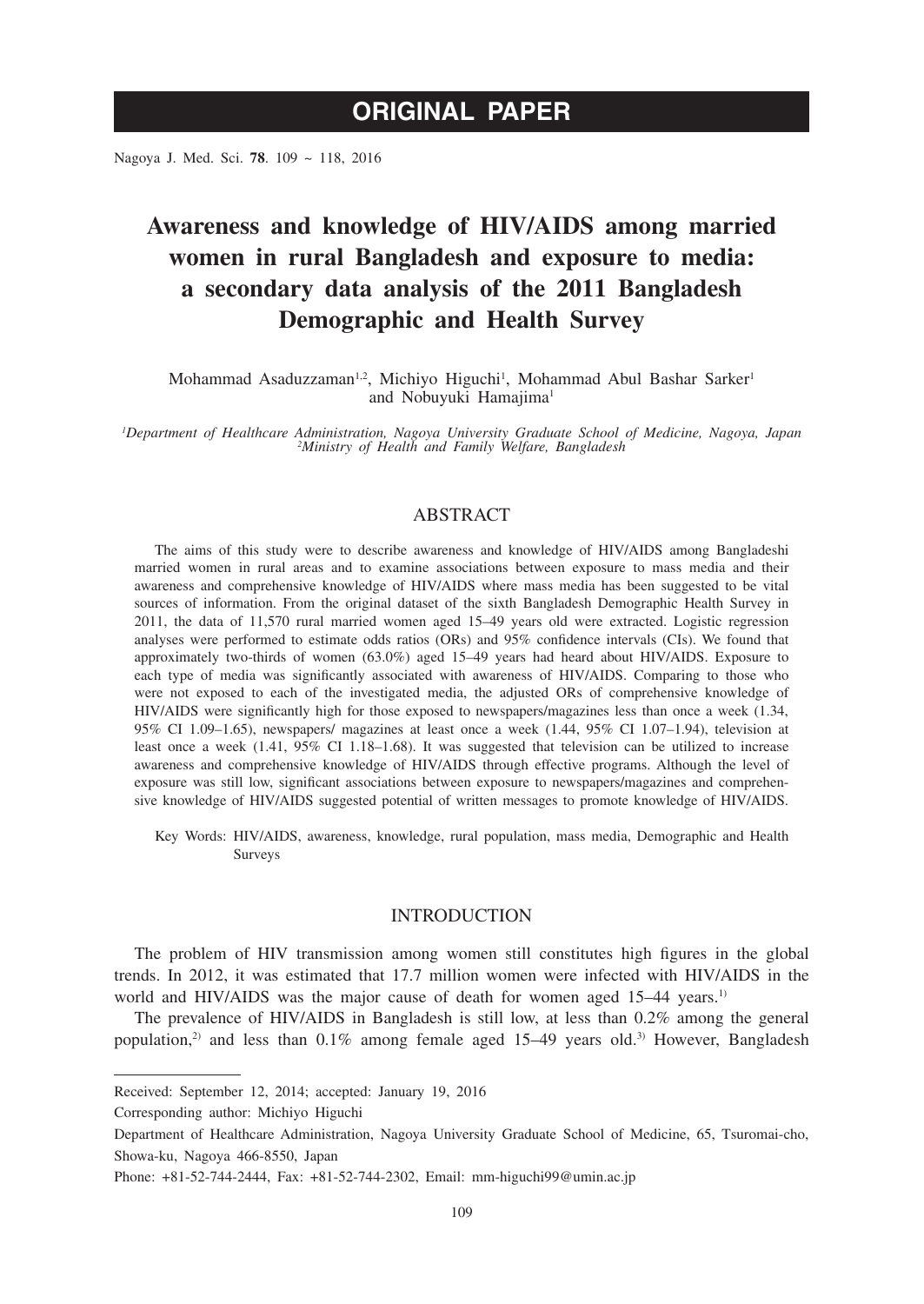Nagoya J. Med. Sci. **78**. 109 ~ 118, 2016

# **Awareness and knowledge of HIV/AIDS among married women in rural Bangladesh and exposure to media: a secondary data analysis of the 2011 Bangladesh Demographic and Health Survey**

Mohammad Asaduzzaman<sup>1,2</sup>, Michiyo Higuchi<sup>1</sup>, Mohammad Abul Bashar Sarker<sup>1</sup> and Nobuyuki Hamajima<sup>1</sup>

*1 Department of Healthcare Administration, Nagoya University Graduate School of Medicine, Nagoya, Japan <sup>2</sup> Ministry of Health and Family Welfare, Bangladesh*

# ABSTRACT

The aims of this study were to describe awareness and knowledge of HIV/AIDS among Bangladeshi married women in rural areas and to examine associations between exposure to mass media and their awareness and comprehensive knowledge of HIV/AIDS where mass media has been suggested to be vital sources of information. From the original dataset of the sixth Bangladesh Demographic Health Survey in 2011, the data of 11,570 rural married women aged 15–49 years old were extracted. Logistic regression analyses were performed to estimate odds ratios (ORs) and 95% confidence intervals (CIs). We found that approximately two-thirds of women (63.0%) aged 15–49 years had heard about HIV/AIDS. Exposure to each type of media was significantly associated with awareness of HIV/AIDS. Comparing to those who were not exposed to each of the investigated media, the adjusted ORs of comprehensive knowledge of HIV/AIDS were significantly high for those exposed to newspapers/magazines less than once a week (1.34, 95% CI 1.09–1.65), newspapers/ magazines at least once a week (1.44, 95% CI 1.07–1.94), television at least once a week (1.41, 95% CI 1.18–1.68). It was suggested that television can be utilized to increase awareness and comprehensive knowledge of HIV/AIDS through effective programs. Although the level of exposure was still low, significant associations between exposure to newspapers/magazines and comprehensive knowledge of HIV/AIDS suggested potential of written messages to promote knowledge of HIV/AIDS.

Key Words: HIV/AIDS, awareness, knowledge, rural population, mass media, Demographic and Health Surveys

## INTRODUCTION

The problem of HIV transmission among women still constitutes high figures in the global trends. In 2012, it was estimated that 17.7 million women were infected with HIV/AIDS in the world and HIV/AIDS was the major cause of death for women aged 15–44 years.<sup>1)</sup>

The prevalence of HIV/AIDS in Bangladesh is still low, at less than 0.2% among the general population,<sup>2)</sup> and less than  $0.1\%$  among female aged 15–49 years old.<sup>3)</sup> However, Bangladesh

Received: September 12, 2014; accepted: January 19, 2016

Corresponding author: Michiyo Higuchi

Department of Healthcare Administration, Nagoya University Graduate School of Medicine, 65, Tsuromai-cho, Showa-ku, Nagoya 466-8550, Japan

Phone: +81-52-744-2444, Fax: +81-52-744-2302, Email: mm-higuchi99@umin.ac.jp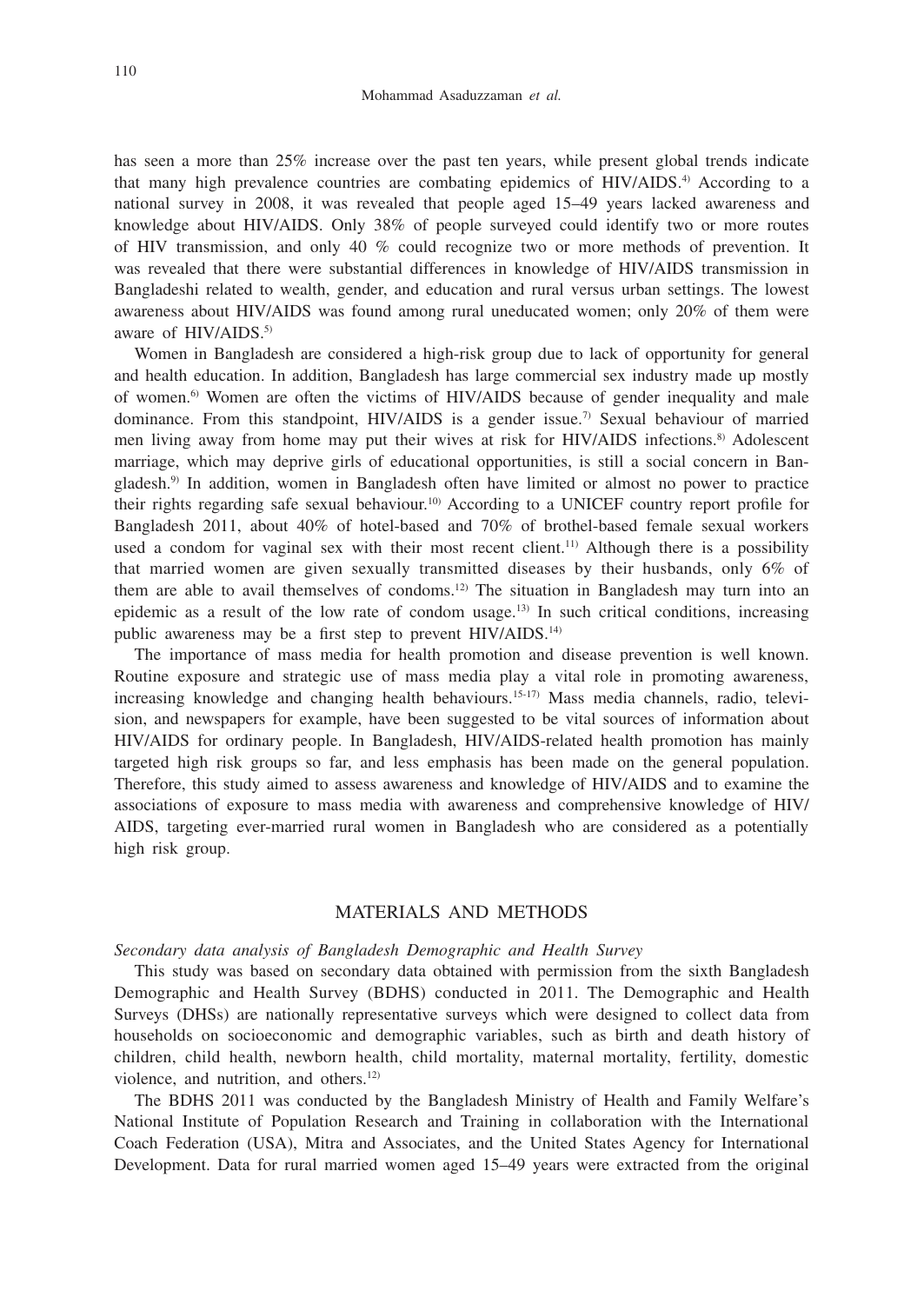has seen a more than 25% increase over the past ten years, while present global trends indicate that many high prevalence countries are combating epidemics of HIV/AIDS.4) According to a national survey in 2008, it was revealed that people aged 15–49 years lacked awareness and knowledge about HIV/AIDS. Only 38% of people surveyed could identify two or more routes of HIV transmission, and only 40 % could recognize two or more methods of prevention. It was revealed that there were substantial differences in knowledge of HIV/AIDS transmission in Bangladeshi related to wealth, gender, and education and rural versus urban settings. The lowest awareness about HIV/AIDS was found among rural uneducated women; only 20% of them were aware of HIV/AIDS.<sup>5)</sup>

Women in Bangladesh are considered a high-risk group due to lack of opportunity for general and health education. In addition, Bangladesh has large commercial sex industry made up mostly of women.6) Women are often the victims of HIV/AIDS because of gender inequality and male dominance. From this standpoint, HIV/AIDS is a gender issue.<sup>7)</sup> Sexual behaviour of married men living away from home may put their wives at risk for HIV/AIDS infections.<sup>8)</sup> Adolescent marriage, which may deprive girls of educational opportunities, is still a social concern in Bangladesh.9) In addition, women in Bangladesh often have limited or almost no power to practice their rights regarding safe sexual behaviour.10) According to a UNICEF country report profile for Bangladesh 2011, about 40% of hotel-based and 70% of brothel-based female sexual workers used a condom for vaginal sex with their most recent client.<sup>11)</sup> Although there is a possibility that married women are given sexually transmitted diseases by their husbands, only 6% of them are able to avail themselves of condoms.12) The situation in Bangladesh may turn into an epidemic as a result of the low rate of condom usage.<sup>13)</sup> In such critical conditions, increasing public awareness may be a first step to prevent HIV/AIDS.14)

The importance of mass media for health promotion and disease prevention is well known. Routine exposure and strategic use of mass media play a vital role in promoting awareness, increasing knowledge and changing health behaviours.<sup>15-17)</sup> Mass media channels, radio, television, and newspapers for example, have been suggested to be vital sources of information about HIV/AIDS for ordinary people. In Bangladesh, HIV/AIDS-related health promotion has mainly targeted high risk groups so far, and less emphasis has been made on the general population. Therefore, this study aimed to assess awareness and knowledge of HIV/AIDS and to examine the associations of exposure to mass media with awareness and comprehensive knowledge of HIV/ AIDS, targeting ever-married rural women in Bangladesh who are considered as a potentially high risk group.

# MATERIALS AND METHODS

*Secondary data analysis of Bangladesh Demographic and Health Survey*

This study was based on secondary data obtained with permission from the sixth Bangladesh Demographic and Health Survey (BDHS) conducted in 2011. The Demographic and Health Surveys (DHSs) are nationally representative surveys which were designed to collect data from households on socioeconomic and demographic variables, such as birth and death history of children, child health, newborn health, child mortality, maternal mortality, fertility, domestic violence, and nutrition, and others.<sup>12)</sup>

The BDHS 2011 was conducted by the Bangladesh Ministry of Health and Family Welfare's National Institute of Population Research and Training in collaboration with the International Coach Federation (USA), Mitra and Associates, and the United States Agency for International Development. Data for rural married women aged 15–49 years were extracted from the original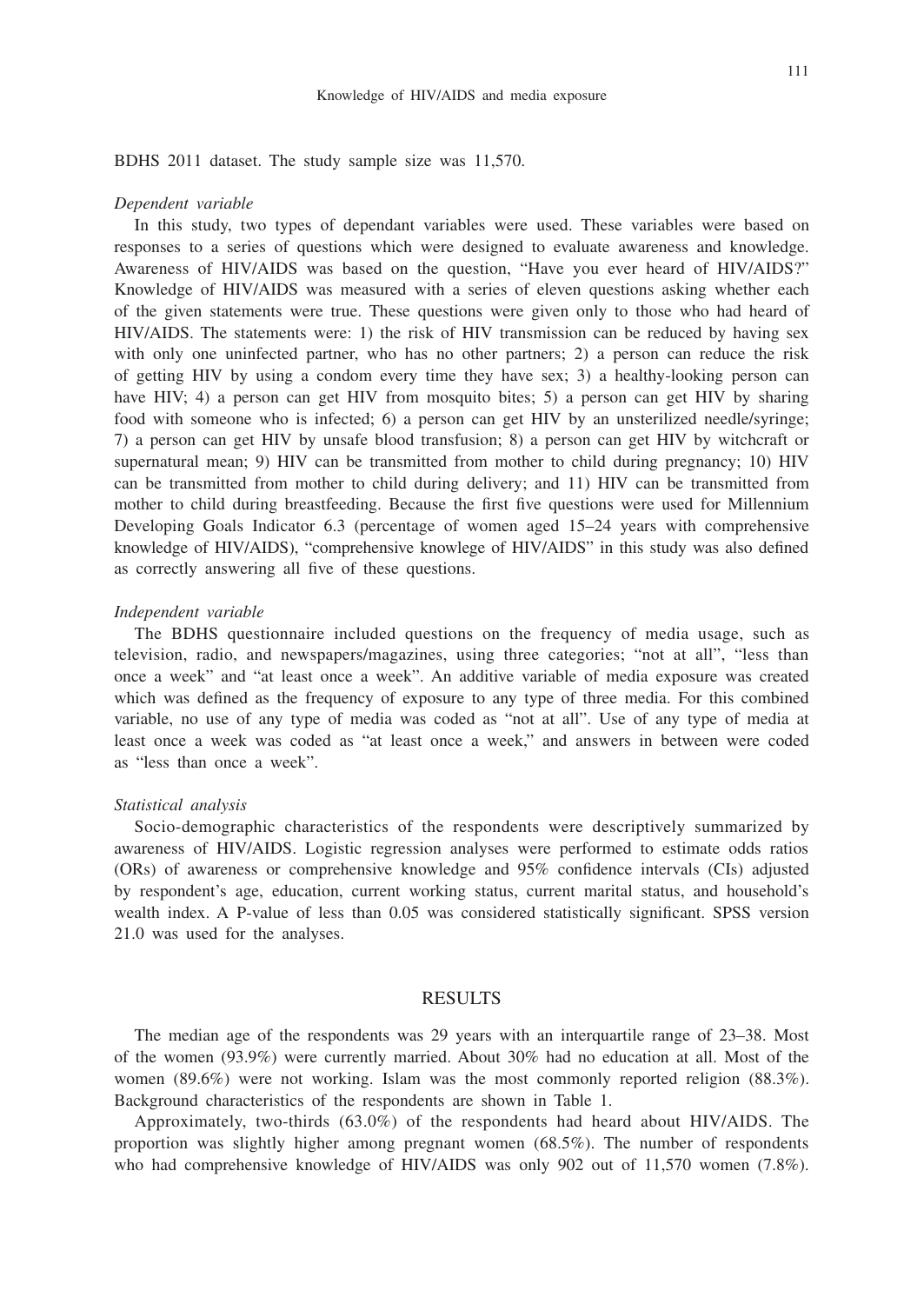BDHS 2011 dataset. The study sample size was 11,570.

#### *Dependent variable*

In this study, two types of dependant variables were used. These variables were based on responses to a series of questions which were designed to evaluate awareness and knowledge. Awareness of HIV/AIDS was based on the question, "Have you ever heard of HIV/AIDS?" Knowledge of HIV/AIDS was measured with a series of eleven questions asking whether each of the given statements were true. These questions were given only to those who had heard of HIV/AIDS. The statements were: 1) the risk of HIV transmission can be reduced by having sex with only one uninfected partner, who has no other partners; 2) a person can reduce the risk of getting HIV by using a condom every time they have sex; 3) a healthy-looking person can have HIV; 4) a person can get HIV from mosquito bites; 5) a person can get HIV by sharing food with someone who is infected; 6) a person can get HIV by an unsterilized needle/syringe; 7) a person can get HIV by unsafe blood transfusion; 8) a person can get HIV by witchcraft or supernatural mean; 9) HIV can be transmitted from mother to child during pregnancy; 10) HIV can be transmitted from mother to child during delivery; and 11) HIV can be transmitted from mother to child during breastfeeding. Because the first five questions were used for Millennium Developing Goals Indicator 6.3 (percentage of women aged 15–24 years with comprehensive knowledge of HIV/AIDS), "comprehensive knowlege of HIV/AIDS" in this study was also defined as correctly answering all five of these questions.

#### *Independent variable*

The BDHS questionnaire included questions on the frequency of media usage, such as television, radio, and newspapers/magazines, using three categories; "not at all", "less than once a week" and "at least once a week". An additive variable of media exposure was created which was defined as the frequency of exposure to any type of three media. For this combined variable, no use of any type of media was coded as "not at all". Use of any type of media at least once a week was coded as "at least once a week," and answers in between were coded as "less than once a week".

#### *Statistical analysis*

Socio-demographic characteristics of the respondents were descriptively summarized by awareness of HIV/AIDS. Logistic regression analyses were performed to estimate odds ratios (ORs) of awareness or comprehensive knowledge and 95% confidence intervals (CIs) adjusted by respondent's age, education, current working status, current marital status, and household's wealth index. A P-value of less than 0.05 was considered statistically significant. SPSS version 21.0 was used for the analyses.

## RESULTS

The median age of the respondents was 29 years with an interquartile range of 23–38. Most of the women (93.9%) were currently married. About 30% had no education at all. Most of the women (89.6%) were not working. Islam was the most commonly reported religion (88.3%). Background characteristics of the respondents are shown in Table 1.

Approximately, two-thirds (63.0%) of the respondents had heard about HIV/AIDS. The proportion was slightly higher among pregnant women (68.5%). The number of respondents who had comprehensive knowledge of HIV/AIDS was only 902 out of 11,570 women (7.8%).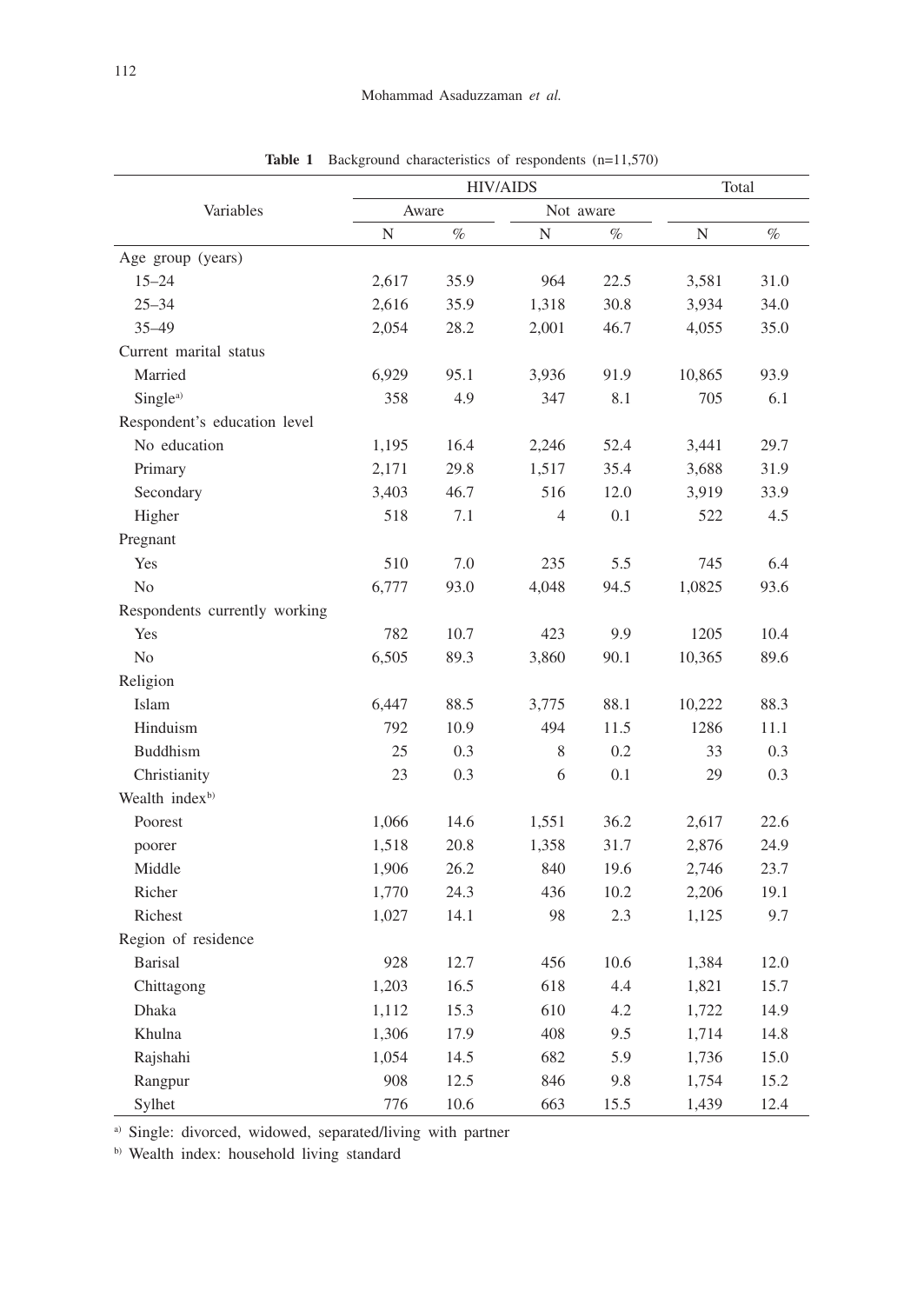|                               |       | <b>HIV/AIDS</b> | Total          |      |        |      |
|-------------------------------|-------|-----------------|----------------|------|--------|------|
| Variables                     | Aware |                 | Not aware      |      |        |      |
|                               | N     | $\%$            | N              | $\%$ | N      | $\%$ |
| Age group (years)             |       |                 |                |      |        |      |
| $15 - 24$                     | 2,617 | 35.9            | 964            | 22.5 | 3,581  | 31.0 |
| $25 - 34$                     | 2,616 | 35.9            | 1,318          | 30.8 | 3,934  | 34.0 |
| $35 - 49$                     | 2,054 | 28.2            | 2,001          | 46.7 | 4,055  | 35.0 |
| Current marital status        |       |                 |                |      |        |      |
| Married                       | 6,929 | 95.1            | 3,936          | 91.9 | 10,865 | 93.9 |
| Single <sup>a)</sup>          | 358   | 4.9             | 347            | 8.1  | 705    | 6.1  |
| Respondent's education level  |       |                 |                |      |        |      |
| No education                  | 1,195 | 16.4            | 2,246          | 52.4 | 3,441  | 29.7 |
| Primary                       | 2,171 | 29.8            | 1,517          | 35.4 | 3,688  | 31.9 |
| Secondary                     | 3,403 | 46.7            | 516            | 12.0 | 3,919  | 33.9 |
| Higher                        | 518   | 7.1             | $\overline{4}$ | 0.1  | 522    | 4.5  |
| Pregnant                      |       |                 |                |      |        |      |
| Yes                           | 510   | 7.0             | 235            | 5.5  | 745    | 6.4  |
| No                            | 6,777 | 93.0            | 4,048          | 94.5 | 1,0825 | 93.6 |
| Respondents currently working |       |                 |                |      |        |      |
| Yes                           | 782   | 10.7            | 423            | 9.9  | 1205   | 10.4 |
| No                            | 6,505 | 89.3            | 3,860          | 90.1 | 10,365 | 89.6 |
| Religion                      |       |                 |                |      |        |      |
| Islam                         | 6,447 | 88.5            | 3,775          | 88.1 | 10,222 | 88.3 |
| Hinduism                      | 792   | 10.9            | 494            | 11.5 | 1286   | 11.1 |
| <b>Buddhism</b>               | 25    | 0.3             | 8              | 0.2  | 33     | 0.3  |
| Christianity                  | 23    | 0.3             | 6              | 0.1  | 29     | 0.3  |
| Wealth index <sup>b)</sup>    |       |                 |                |      |        |      |
| Poorest                       | 1,066 | 14.6            | 1,551          | 36.2 | 2,617  | 22.6 |
| poorer                        | 1,518 | 20.8            | 1,358          | 31.7 | 2,876  | 24.9 |
| Middle                        | 1,906 | 26.2            | 840            | 19.6 | 2,746  | 23.7 |
| Richer                        | 1,770 | 24.3            | 436            | 10.2 | 2,206  | 19.1 |
| Richest                       | 1,027 | 14.1            | 98             | 2.3  | 1,125  | 9.7  |
| Region of residence           |       |                 |                |      |        |      |
| <b>Barisal</b>                | 928   | 12.7            | 456            | 10.6 | 1,384  | 12.0 |
| Chittagong                    | 1,203 | 16.5            | 618            | 4.4  | 1,821  | 15.7 |
| Dhaka                         | 1,112 | 15.3            | 610            | 4.2  | 1,722  | 14.9 |
| Khulna                        | 1,306 | 17.9            | 408            | 9.5  | 1,714  | 14.8 |
| Rajshahi                      | 1,054 | 14.5            | 682            | 5.9  | 1,736  | 15.0 |
| Rangpur                       | 908   | 12.5            | 846            | 9.8  | 1,754  | 15.2 |
| Sylhet                        | 776   | 10.6            | 663            | 15.5 | 1,439  | 12.4 |

**Table 1** Background characteristics of respondents (n=11,570)

a) Single: divorced, widowed, separated/living with partner

b) Wealth index: household living standard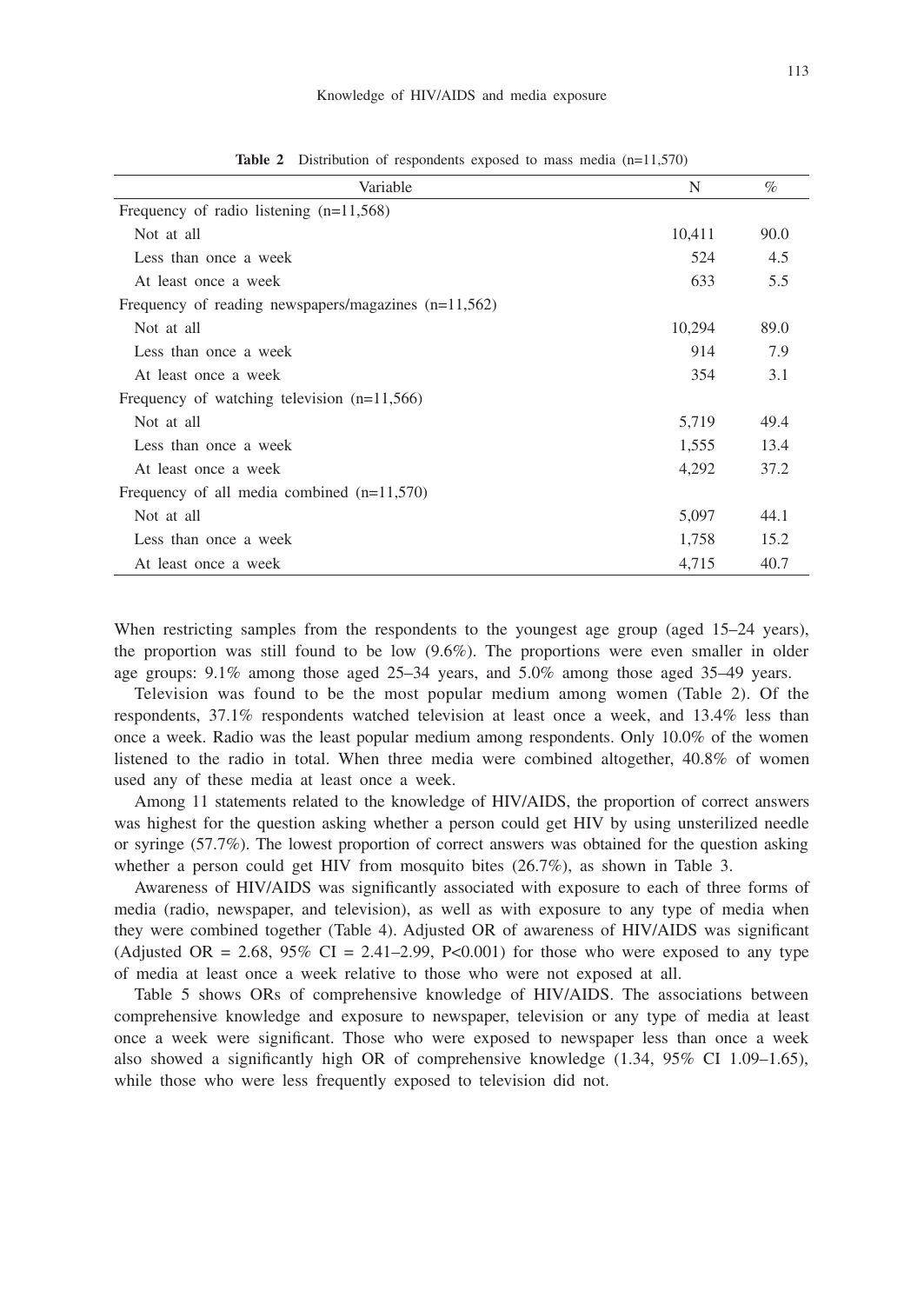| Variable                                               | N      | $\%$ |
|--------------------------------------------------------|--------|------|
| Frequency of radio listening $(n=11,568)$              |        |      |
| Not at all                                             | 10,411 | 90.0 |
| Less than once a week                                  | 524    | 4.5  |
| At least once a week                                   | 633    | 5.5  |
| Frequency of reading newspapers/magazines $(n=11,562)$ |        |      |
| Not at all                                             | 10,294 | 89.0 |
| Less than once a week                                  | 914    | 7.9  |
| At least once a week                                   | 354    | 3.1  |
| Frequency of watching television $(n=11,566)$          |        |      |
| Not at all                                             | 5,719  | 49.4 |
| Less than once a week                                  | 1,555  | 13.4 |
| At least once a week                                   | 4,292  | 37.2 |
| Frequency of all media combined $(n=11,570)$           |        |      |
| Not at all                                             | 5,097  | 44.1 |
| Less than once a week                                  | 1,758  | 15.2 |
| At least once a week                                   | 4,715  | 40.7 |

**Table 2** Distribution of respondents exposed to mass media (n=11,570)

When restricting samples from the respondents to the youngest age group (aged 15–24 years), the proportion was still found to be low (9.6%). The proportions were even smaller in older age groups: 9.1% among those aged 25–34 years, and 5.0% among those aged 35–49 years.

Television was found to be the most popular medium among women (Table 2). Of the respondents, 37.1% respondents watched television at least once a week, and 13.4% less than once a week. Radio was the least popular medium among respondents. Only 10.0% of the women listened to the radio in total. When three media were combined altogether, 40.8% of women used any of these media at least once a week.

Among 11 statements related to the knowledge of HIV/AIDS, the proportion of correct answers was highest for the question asking whether a person could get HIV by using unsterilized needle or syringe (57.7%). The lowest proportion of correct answers was obtained for the question asking whether a person could get HIV from mosquito bites (26.7%), as shown in Table 3.

Awareness of HIV/AIDS was significantly associated with exposure to each of three forms of media (radio, newspaper, and television), as well as with exposure to any type of media when they were combined together (Table 4). Adjusted OR of awareness of HIV/AIDS was significant (Adjusted OR = 2.68, 95% CI = 2.41–2.99, P<0.001) for those who were exposed to any type of media at least once a week relative to those who were not exposed at all.

Table 5 shows ORs of comprehensive knowledge of HIV/AIDS. The associations between comprehensive knowledge and exposure to newspaper, television or any type of media at least once a week were significant. Those who were exposed to newspaper less than once a week also showed a significantly high OR of comprehensive knowledge (1.34, 95% CI 1.09–1.65), while those who were less frequently exposed to television did not.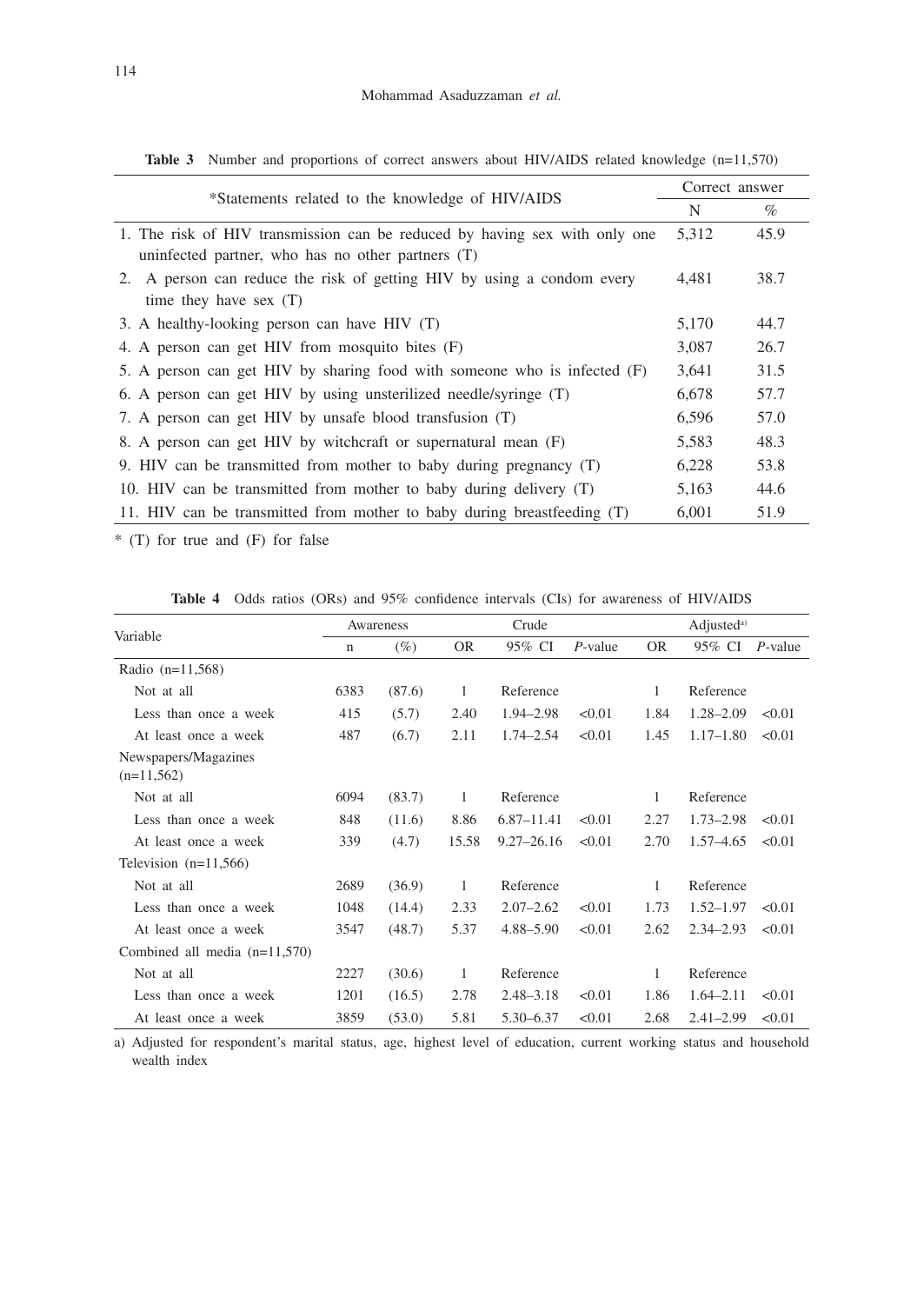| *Statements related to the knowledge of HIV/AIDS                           |       | Correct answer |  |  |  |  |  |
|----------------------------------------------------------------------------|-------|----------------|--|--|--|--|--|
|                                                                            |       | $\%$           |  |  |  |  |  |
| 1. The risk of HIV transmission can be reduced by having sex with only one | 5,312 | 45.9           |  |  |  |  |  |
| uninfected partner, who has no other partners $(T)$                        |       |                |  |  |  |  |  |
| 2. A person can reduce the risk of getting HIV by using a condom every     | 4,481 | 38.7           |  |  |  |  |  |
| time they have sex $(T)$                                                   |       |                |  |  |  |  |  |
| 3. A healthy-looking person can have HIV (T)                               | 5,170 | 44.7           |  |  |  |  |  |
| 4. A person can get HIV from mosquito bites (F)                            | 3,087 | 26.7           |  |  |  |  |  |
| 5. A person can get HIV by sharing food with someone who is infected (F)   | 3,641 | 31.5           |  |  |  |  |  |
| 6. A person can get HIV by using unsterilized needle/syringe (T)           | 6,678 | 57.7           |  |  |  |  |  |
| 7. A person can get HIV by unsafe blood transfusion (T)                    | 6,596 | 57.0           |  |  |  |  |  |
| 8. A person can get HIV by witchcraft or supernatural mean (F)             | 5,583 | 48.3           |  |  |  |  |  |
| 9. HIV can be transmitted from mother to baby during pregnancy (T)         | 6,228 | 53.8           |  |  |  |  |  |
| 10. HIV can be transmitted from mother to baby during delivery (T)         | 5,163 | 44.6           |  |  |  |  |  |
| 11. HIV can be transmitted from mother to baby during breastfeeding (T)    | 6,001 | 51.9           |  |  |  |  |  |

Table 3 Number and proportions of correct answers about HIV/AIDS related knowledge (n=11,570)

\* (T) for true and (F) for false

**Table 4** Odds ratios (ORs) and 95% confidence intervals (CIs) for awareness of HIV/AIDS

| Variable                             | Awareness |        | Crude     |                |            | Adjusted <sup>a)</sup> |               |                 |
|--------------------------------------|-----------|--------|-----------|----------------|------------|------------------------|---------------|-----------------|
|                                      | n         | $(\%)$ | <b>OR</b> | 95% CI         | $P$ -value | <b>OR</b>              | 95% CI        | <i>P</i> -value |
| Radio (n=11,568)                     |           |        |           |                |            |                        |               |                 |
| Not at all                           | 6383      | (87.6) | 1         | Reference      |            | 1                      | Reference     |                 |
| Less than once a week                | 415       | (5.7)  | 2.40      | 1.94-2.98      | < 0.01     | 1.84                   | $1.28 - 2.09$ | < 0.01          |
| At least once a week                 | 487       | (6.7)  | 2.11      | $1.74 - 2.54$  | < 0.01     | 1.45                   | $1.17 - 1.80$ | < 0.01          |
| Newspapers/Magazines<br>$(n=11,562)$ |           |        |           |                |            |                        |               |                 |
| Not at all                           | 6094      | (83.7) | 1         | Reference      |            | 1                      | Reference     |                 |
| Less than once a week                | 848       | (11.6) | 8.86      | $6.87 - 11.41$ | < 0.01     | 2.27                   | $1.73 - 2.98$ | < 0.01          |
| At least once a week                 | 339       | (4.7)  | 15.58     | $9.27 - 26.16$ | < 0.01     | 2.70                   | $1.57 - 4.65$ | < 0.01          |
| Television $(n=11,566)$              |           |        |           |                |            |                        |               |                 |
| Not at all                           | 2689      | (36.9) | 1         | Reference      |            | 1                      | Reference     |                 |
| Less than once a week                | 1048      | (14.4) | 2.33      | $2.07 - 2.62$  | < 0.01     | 1.73                   | $1.52 - 1.97$ | < 0.01          |
| At least once a week                 | 3547      | (48.7) | 5.37      | 4.88–5.90      | < 0.01     | 2.62                   | $2.34 - 2.93$ | < 0.01          |
| Combined all media $(n=11,570)$      |           |        |           |                |            |                        |               |                 |
| Not at all                           | 2227      | (30.6) | 1         | Reference      |            | 1                      | Reference     |                 |
| Less than once a week                | 1201      | (16.5) | 2.78      | $2.48 - 3.18$  | < 0.01     | 1.86                   | $1.64 - 2.11$ | < 0.01          |
| At least once a week                 | 3859      | (53.0) | 5.81      | 5.30 - 6.37    | < 0.01     | 2.68                   | $2.41 - 2.99$ | < 0.01          |

a) Adjusted for respondent's marital status, age, highest level of education, current working status and household wealth index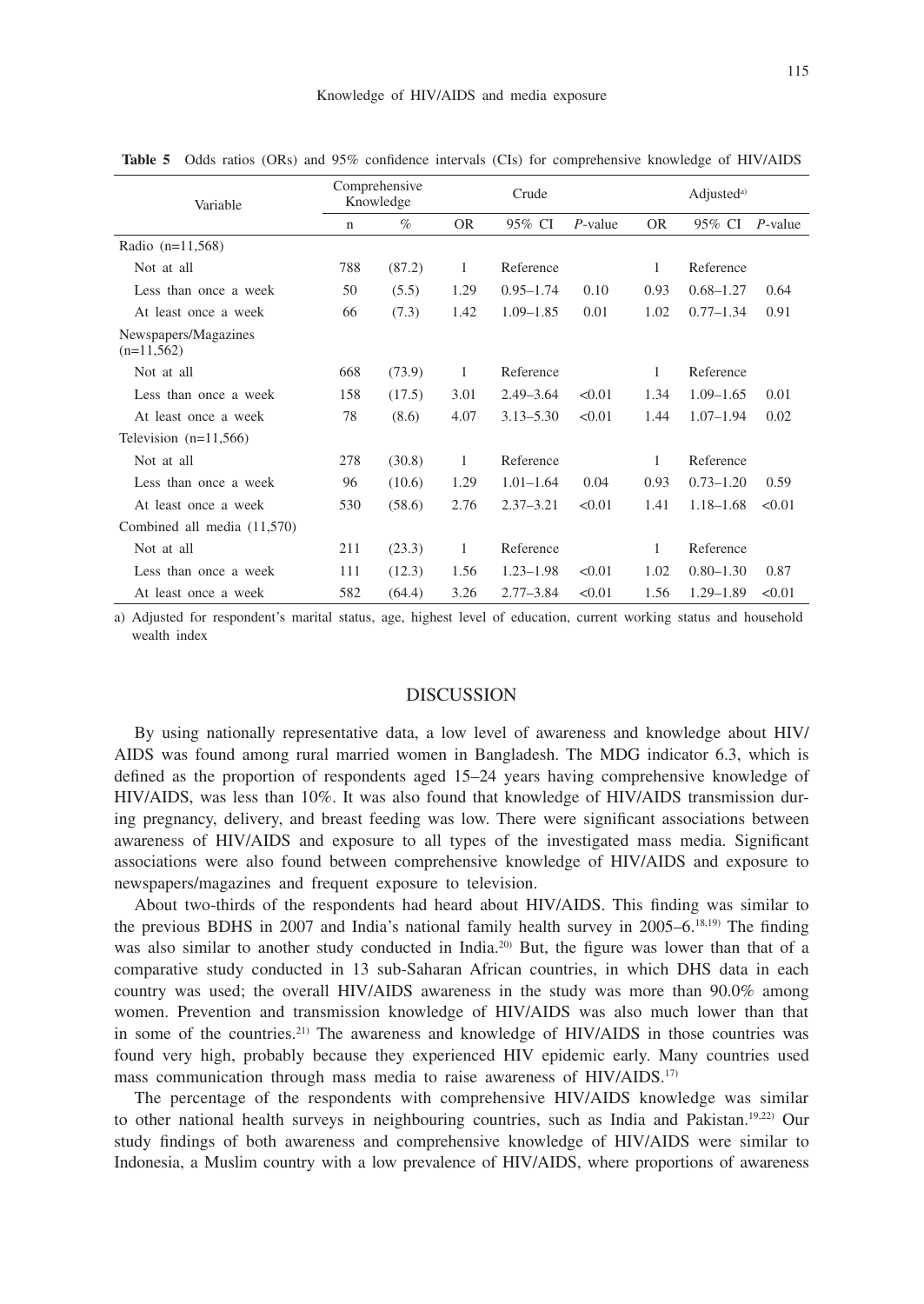| Variable                             | Comprehensive<br>Knowledge |        | Crude     |               |            | Adjusted <sup>a)</sup> |               |            |
|--------------------------------------|----------------------------|--------|-----------|---------------|------------|------------------------|---------------|------------|
|                                      | $\mathbf n$                | $\%$   | <b>OR</b> | 95% CI        | $P$ -value | <b>OR</b>              | 95% CI        | $P$ -value |
| Radio $(n=11,568)$                   |                            |        |           |               |            |                        |               |            |
| Not at all                           | 788                        | (87.2) | 1         | Reference     |            | 1                      | Reference     |            |
| Less than once a week                | 50                         | (5.5)  | 1.29      | $0.95 - 1.74$ | 0.10       | 0.93                   | $0.68 - 1.27$ | 0.64       |
| At least once a week                 | 66                         | (7.3)  | 1.42      | $1.09 - 1.85$ | 0.01       | 1.02                   | $0.77 - 1.34$ | 0.91       |
| Newspapers/Magazines<br>$(n=11,562)$ |                            |        |           |               |            |                        |               |            |
| Not at all                           | 668                        | (73.9) | 1         | Reference     |            | 1                      | Reference     |            |
| Less than once a week                | 158                        | (17.5) | 3.01      | $2.49 - 3.64$ | < 0.01     | 1.34                   | $1.09 - 1.65$ | 0.01       |
| At least once a week                 | 78                         | (8.6)  | 4.07      | $3.13 - 5.30$ | < 0.01     | 1.44                   | $1.07 - 1.94$ | 0.02       |
| Television $(n=11,566)$              |                            |        |           |               |            |                        |               |            |
| Not at all                           | 278                        | (30.8) | 1         | Reference     |            | 1                      | Reference     |            |
| Less than once a week                | 96                         | (10.6) | 1.29      | $1.01 - 1.64$ | 0.04       | 0.93                   | $0.73 - 1.20$ | 0.59       |
| At least once a week                 | 530                        | (58.6) | 2.76      | $2.37 - 3.21$ | < 0.01     | 1.41                   | $1.18 - 1.68$ | < 0.01     |
| Combined all media (11,570)          |                            |        |           |               |            |                        |               |            |
| Not at all                           | 211                        | (23.3) | 1         | Reference     |            | 1                      | Reference     |            |
| Less than once a week                | 111                        | (12.3) | 1.56      | $1.23 - 1.98$ | < 0.01     | 1.02                   | $0.80 - 1.30$ | 0.87       |
| At least once a week                 | 582                        | (64.4) | 3.26      | $2.77 - 3.84$ | < 0.01     | 1.56                   | $1.29 - 1.89$ | < 0.01     |

**Table 5** Odds ratios (ORs) and 95% confidence intervals (CIs) for comprehensive knowledge of HIV/AIDS

a) Adjusted for respondent's marital status, age, highest level of education, current working status and household wealth index

## DISCUSSION

By using nationally representative data, a low level of awareness and knowledge about HIV/ AIDS was found among rural married women in Bangladesh. The MDG indicator 6.3, which is defined as the proportion of respondents aged 15–24 years having comprehensive knowledge of HIV/AIDS, was less than 10%. It was also found that knowledge of HIV/AIDS transmission during pregnancy, delivery, and breast feeding was low. There were significant associations between awareness of HIV/AIDS and exposure to all types of the investigated mass media. Significant associations were also found between comprehensive knowledge of HIV/AIDS and exposure to newspapers/magazines and frequent exposure to television.

About two-thirds of the respondents had heard about HIV/AIDS. This finding was similar to the previous BDHS in 2007 and India's national family health survey in 2005–6.18,19) The finding was also similar to another study conducted in India.<sup>20)</sup> But, the figure was lower than that of a comparative study conducted in 13 sub-Saharan African countries, in which DHS data in each country was used; the overall HIV/AIDS awareness in the study was more than 90.0% among women. Prevention and transmission knowledge of HIV/AIDS was also much lower than that in some of the countries.<sup>21)</sup> The awareness and knowledge of HIV/AIDS in those countries was found very high, probably because they experienced HIV epidemic early. Many countries used mass communication through mass media to raise awareness of HIV/AIDS.17)

The percentage of the respondents with comprehensive HIV/AIDS knowledge was similar to other national health surveys in neighbouring countries, such as India and Pakistan.<sup>19,22</sup> Our study findings of both awareness and comprehensive knowledge of HIV/AIDS were similar to Indonesia, a Muslim country with a low prevalence of HIV/AIDS, where proportions of awareness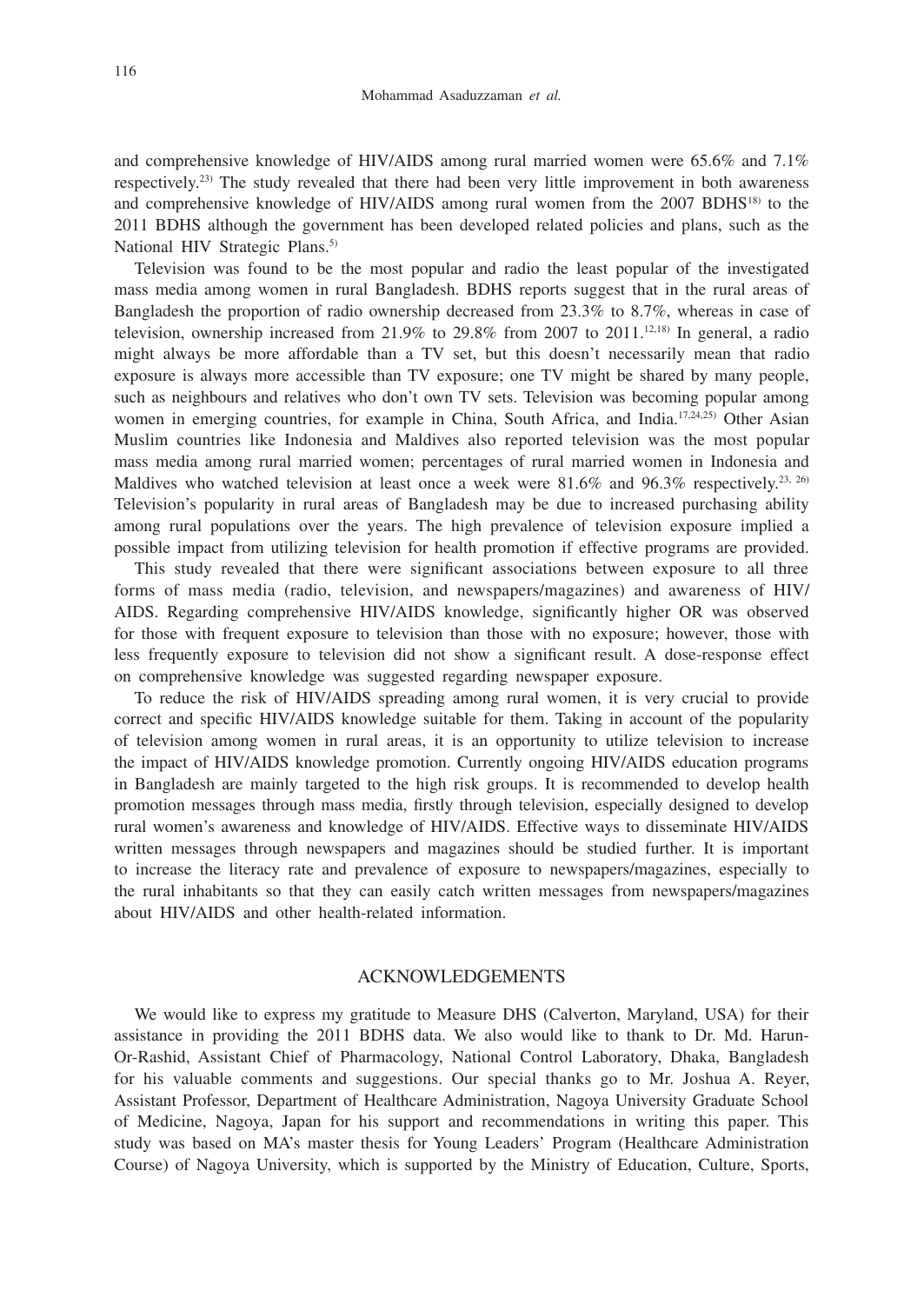and comprehensive knowledge of HIV/AIDS among rural married women were 65.6% and 7.1% respectively.23) The study revealed that there had been very little improvement in both awareness and comprehensive knowledge of HIV/AIDS among rural women from the 2007 BDHS18) to the 2011 BDHS although the government has been developed related policies and plans, such as the National HIV Strategic Plans.<sup>5)</sup>

Television was found to be the most popular and radio the least popular of the investigated mass media among women in rural Bangladesh. BDHS reports suggest that in the rural areas of Bangladesh the proportion of radio ownership decreased from 23.3% to 8.7%, whereas in case of television, ownership increased from  $21.9\%$  to  $29.8\%$  from 2007 to  $2011^{12,18}$  In general, a radio might always be more affordable than a TV set, but this doesn't necessarily mean that radio exposure is always more accessible than TV exposure; one TV might be shared by many people, such as neighbours and relatives who don't own TV sets. Television was becoming popular among women in emerging countries, for example in China, South Africa, and India.<sup>17,24,25)</sup> Other Asian Muslim countries like Indonesia and Maldives also reported television was the most popular mass media among rural married women; percentages of rural married women in Indonesia and Maldives who watched television at least once a week were  $81.6\%$  and  $96.3\%$  respectively.<sup>23, 26)</sup> Television's popularity in rural areas of Bangladesh may be due to increased purchasing ability among rural populations over the years. The high prevalence of television exposure implied a possible impact from utilizing television for health promotion if effective programs are provided.

This study revealed that there were significant associations between exposure to all three forms of mass media (radio, television, and newspapers/magazines) and awareness of HIV/ AIDS. Regarding comprehensive HIV/AIDS knowledge, significantly higher OR was observed for those with frequent exposure to television than those with no exposure; however, those with less frequently exposure to television did not show a significant result. A dose-response effect on comprehensive knowledge was suggested regarding newspaper exposure.

To reduce the risk of HIV/AIDS spreading among rural women, it is very crucial to provide correct and specific HIV/AIDS knowledge suitable for them. Taking in account of the popularity of television among women in rural areas, it is an opportunity to utilize television to increase the impact of HIV/AIDS knowledge promotion. Currently ongoing HIV/AIDS education programs in Bangladesh are mainly targeted to the high risk groups. It is recommended to develop health promotion messages through mass media, firstly through television, especially designed to develop rural women's awareness and knowledge of HIV/AIDS. Effective ways to disseminate HIV/AIDS written messages through newspapers and magazines should be studied further. It is important to increase the literacy rate and prevalence of exposure to newspapers/magazines, especially to the rural inhabitants so that they can easily catch written messages from newspapers/magazines about HIV/AIDS and other health-related information.

## ACKNOWLEDGEMENTS

We would like to express my gratitude to Measure DHS (Calverton, Maryland, USA) for their assistance in providing the 2011 BDHS data. We also would like to thank to Dr. Md. Harun-Or-Rashid, Assistant Chief of Pharmacology, National Control Laboratory, Dhaka, Bangladesh for his valuable comments and suggestions. Our special thanks go to Mr. Joshua A. Reyer, Assistant Professor, Department of Healthcare Administration, Nagoya University Graduate School of Medicine, Nagoya, Japan for his support and recommendations in writing this paper. This study was based on MA's master thesis for Young Leaders' Program (Healthcare Administration Course) of Nagoya University, which is supported by the Ministry of Education, Culture, Sports,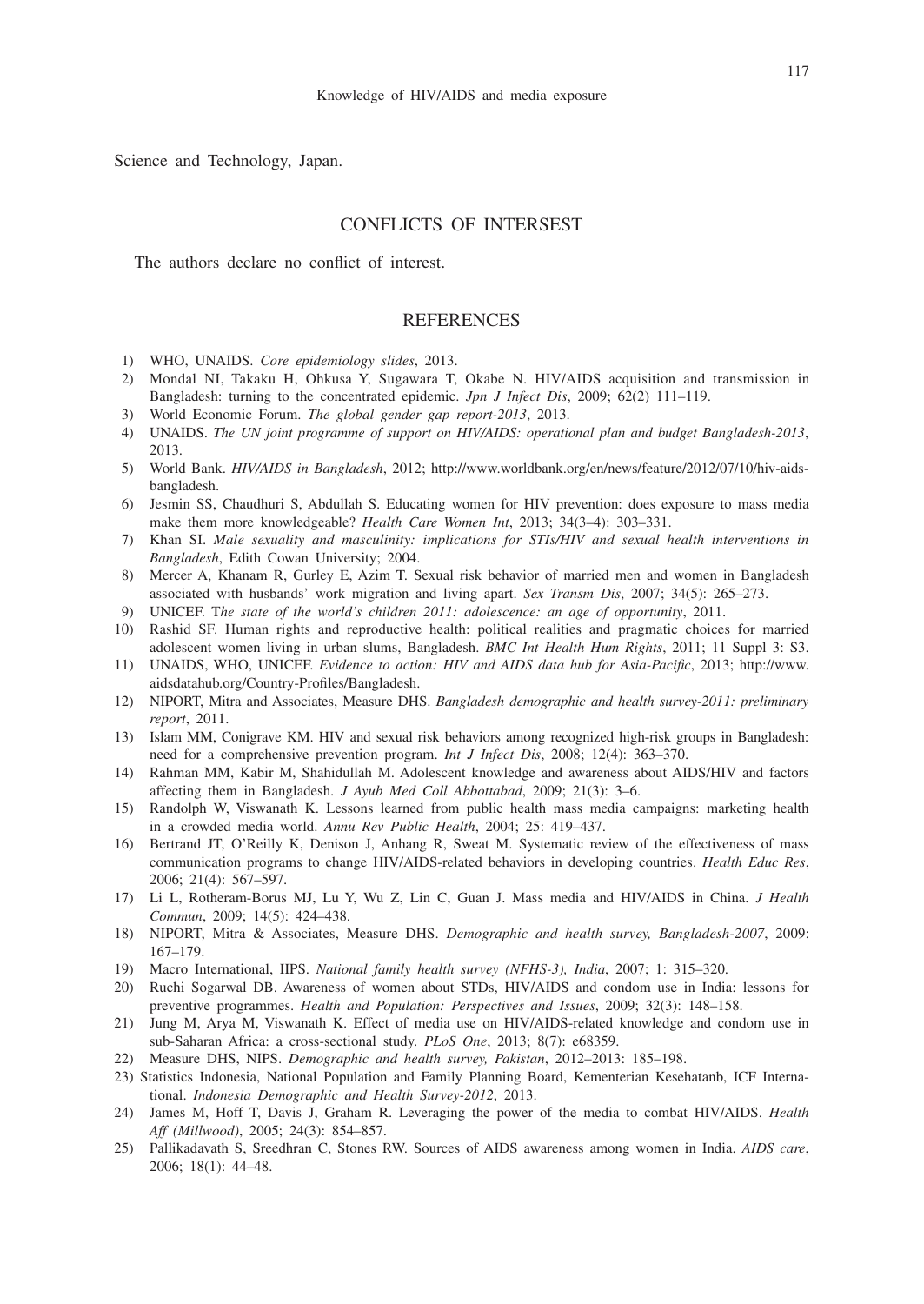Science and Technology, Japan.

# CONFLICTS OF INTERSEST

The authors declare no conflict of interest.

## REFERENCES

- 1) WHO, UNAIDS. *Core epidemiology slides*, 2013.
- 2) Mondal NI, Takaku H, Ohkusa Y, Sugawara T, Okabe N. HIV/AIDS acquisition and transmission in Bangladesh: turning to the concentrated epidemic. *Jpn J Infect Dis*, 2009; 62(2) 111–119.
- 3) World Economic Forum. *The global gender gap report-2013*, 2013.
- 4) UNAIDS. *The UN joint programme of support on HIV/AIDS: operational plan and budget Bangladesh-2013*, 2013.
- 5) World Bank. *HIV/AIDS in Bangladesh*, 2012; http://www.worldbank.org/en/news/feature/2012/07/10/hiv-aidsbangladesh.
- 6) Jesmin SS, Chaudhuri S, Abdullah S. Educating women for HIV prevention: does exposure to mass media make them more knowledgeable? *Health Care Women Int*, 2013; 34(3–4): 303–331.
- 7) Khan SI. *Male sexuality and masculinity: implications for STIs/HIV and sexual health interventions in Bangladesh*, Edith Cowan University; 2004.
- 8) Mercer A, Khanam R, Gurley E, Azim T. Sexual risk behavior of married men and women in Bangladesh associated with husbands' work migration and living apart. *Sex Transm Dis*, 2007; 34(5): 265–273.
- 9) UNICEF. T*he state of the world's children 2011: adolescence: an age of opportunity*, 2011.
- 10) Rashid SF. Human rights and reproductive health: political realities and pragmatic choices for married adolescent women living in urban slums, Bangladesh. *BMC Int Health Hum Rights*, 2011; 11 Suppl 3: S3.
- 11) UNAIDS, WHO, UNICEF. *Evidence to action: HIV and AIDS data hub for Asia-Pacific*, 2013; http://www. aidsdatahub.org/Country-Profiles/Bangladesh.
- 12) NIPORT, Mitra and Associates, Measure DHS. *Bangladesh demographic and health survey-2011: preliminary report*, 2011.
- 13) Islam MM, Conigrave KM. HIV and sexual risk behaviors among recognized high-risk groups in Bangladesh: need for a comprehensive prevention program. *Int J Infect Dis*, 2008; 12(4): 363–370.
- 14) Rahman MM, Kabir M, Shahidullah M. Adolescent knowledge and awareness about AIDS/HIV and factors affecting them in Bangladesh. *J Ayub Med Coll Abbottabad*, 2009; 21(3): 3–6.
- 15) Randolph W, Viswanath K. Lessons learned from public health mass media campaigns: marketing health in a crowded media world. *Annu Rev Public Health*, 2004; 25: 419–437.
- 16) Bertrand JT, O'Reilly K, Denison J, Anhang R, Sweat M. Systematic review of the effectiveness of mass communication programs to change HIV/AIDS-related behaviors in developing countries. *Health Educ Res*, 2006; 21(4): 567–597.
- 17) Li L, Rotheram-Borus MJ, Lu Y, Wu Z, Lin C, Guan J. Mass media and HIV/AIDS in China. *J Health Commun*, 2009; 14(5): 424–438.
- 18) NIPORT, Mitra & Associates, Measure DHS. *Demographic and health survey, Bangladesh-2007*, 2009: 167–179.
- 19) Macro International, IIPS. *National family health survey (NFHS-3), India*, 2007; 1: 315–320.
- 20) Ruchi Sogarwal DB. Awareness of women about STDs, HIV/AIDS and condom use in India: lessons for preventive programmes. *Health and Population: Perspectives and Issues*, 2009; 32(3): 148–158.
- 21) Jung M, Arya M, Viswanath K. Effect of media use on HIV/AIDS-related knowledge and condom use in sub-Saharan Africa: a cross-sectional study. *PLoS One*, 2013; 8(7): e68359.
- 22) Measure DHS, NIPS. *Demographic and health survey, Pakistan*, 2012–2013: 185–198.
- 23) Statistics Indonesia, National Population and Family Planning Board, Kementerian Kesehatanb, ICF International. *Indonesia Demographic and Health Survey-2012*, 2013.
- 24) James M, Hoff T, Davis J, Graham R. Leveraging the power of the media to combat HIV/AIDS. *Health Aff (Millwood)*, 2005; 24(3): 854–857.
- 25) Pallikadavath S, Sreedhran C, Stones RW. Sources of AIDS awareness among women in India. *AIDS care*, 2006; 18(1): 44–48.